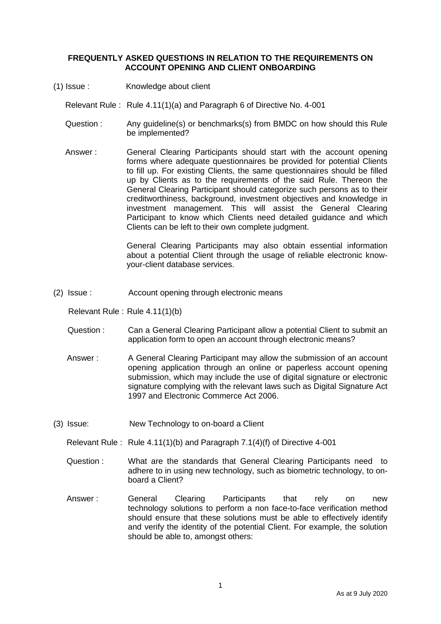## **FREQUENTLY ASKED QUESTIONS IN RELATION TO THE REQUIREMENTS ON ACCOUNT OPENING AND CLIENT ONBOARDING**

(1) Issue : Knowledge about client

Relevant Rule : Rule 4.11(1)(a) and Paragraph 6 of Directive No. 4-001

- Question : Any guideline(s) or benchmarks(s) from BMDC on how should this Rule be implemented?
- Answer : General Clearing Participants should start with the account opening forms where adequate questionnaires be provided for potential Clients to fill up. For existing Clients, the same questionnaires should be filled up by Clients as to the requirements of the said Rule. Thereon the General Clearing Participant should categorize such persons as to their creditworthiness, background, investment objectives and knowledge in investment management. This will assist the General Clearing Participant to know which Clients need detailed guidance and which Clients can be left to their own complete judgment.

General Clearing Participants may also obtain essential information about a potential Client through the usage of reliable electronic knowyour-client database services.

(2) Issue : Account opening through electronic means

Relevant Rule : Rule 4.11(1)(b)

- Question : Can a General Clearing Participant allow a potential Client to submit an application form to open an account through electronic means?
- Answer : A General Clearing Participant may allow the submission of an account opening application through an online or paperless account opening submission, which may include the use of digital signature or electronic signature complying with the relevant laws such as Digital Signature Act 1997 and Electronic Commerce Act 2006.
- (3) Issue: New Technology to on-board a Client

Relevant Rule : Rule 4.11(1)(b) and Paragraph 7.1(4)(f) of Directive 4-001

- Question : What are the standards that General Clearing Participants need to adhere to in using new technology, such as biometric technology, to onboard a Client?
- Answer : General Clearing Participants that rely on new technology solutions to perform a non face-to-face verification method should ensure that these solutions must be able to effectively identify and verify the identity of the potential Client. For example, the solution should be able to, amongst others: